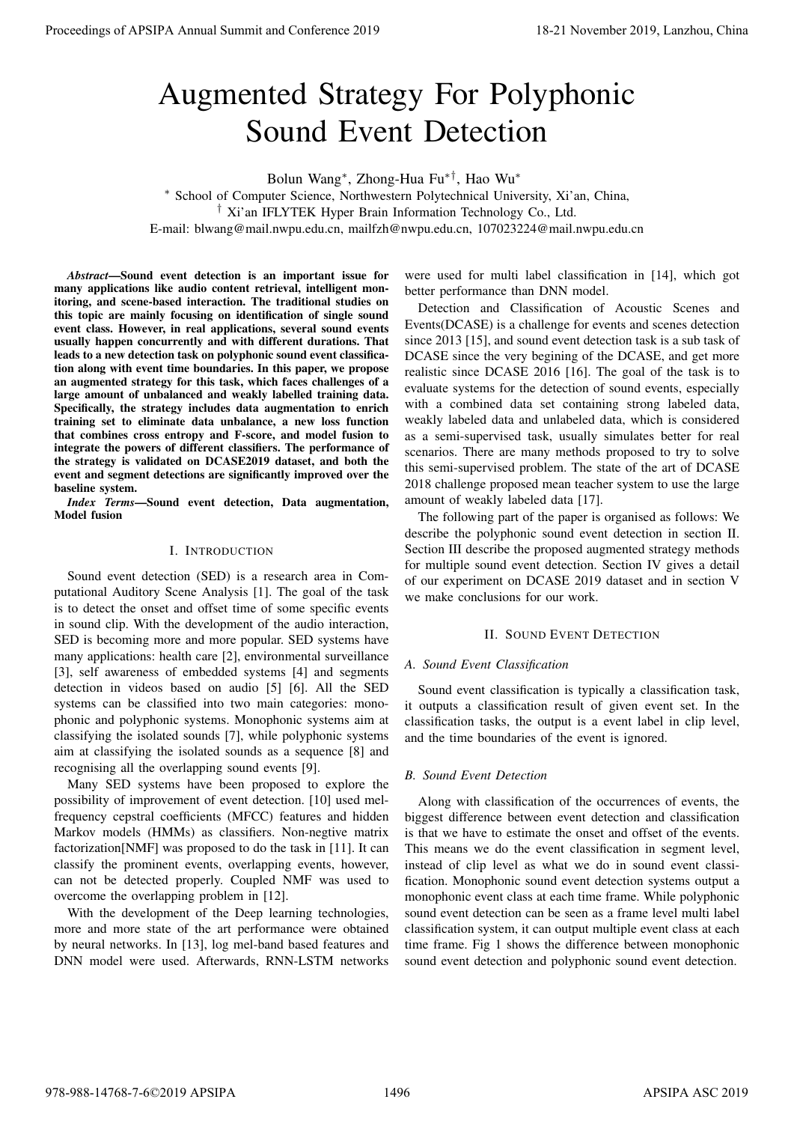# Augmented Strategy For Polyphonic Sound Event Detection

Bolun Wang<sup>∗</sup> , Zhong-Hua Fu∗†, Hao Wu<sup>∗</sup>

<sup>∗</sup> School of Computer Science, Northwestern Polytechnical University, Xi'an, China,

† Xi'an IFLYTEK Hyper Brain Information Technology Co., Ltd.

E-mail: blwang@mail.nwpu.edu.cn, mailfzh@nwpu.edu.cn, 107023224@mail.nwpu.edu.cn

*Abstract*—Sound event detection is an important issue for many applications like audio content retrieval, intelligent monitoring, and scene-based interaction. The traditional studies on this topic are mainly focusing on identification of single sound event class. However, in real applications, several sound events usually happen concurrently and with different durations. That leads to a new detection task on polyphonic sound event classification along with event time boundaries. In this paper, we propose an augmented strategy for this task, which faces challenges of a large amount of unbalanced and weakly labelled training data. Specifically, the strategy includes data augmentation to enrich training set to eliminate data unbalance, a new loss function that combines cross entropy and F-score, and model fusion to integrate the powers of different classifiers. The performance of the strategy is validated on DCASE2019 dataset, and both the event and segment detections are significantly improved over the baseline system. **Proceedings of APSIPA Annual Summit and Conference 2019**<br> **Augment and Conference 2019**<br> **Augment Conference 2019**<br> **Summit and Conference 2019**<br> **Summit and Conference 2019**<br> **Summit and Conference 2019**<br> **Summit and Co** 

*Index Terms*—Sound event detection, Data augmentation, Model fusion

## I. INTRODUCTION

Sound event detection (SED) is a research area in Computational Auditory Scene Analysis [1]. The goal of the task is to detect the onset and offset time of some specific events in sound clip. With the development of the audio interaction, SED is becoming more and more popular. SED systems have many applications: health care [2], environmental surveillance [3], self awareness of embedded systems [4] and segments detection in videos based on audio [5] [6]. All the SED systems can be classified into two main categories: monophonic and polyphonic systems. Monophonic systems aim at classifying the isolated sounds [7], while polyphonic systems aim at classifying the isolated sounds as a sequence [8] and recognising all the overlapping sound events [9].

Many SED systems have been proposed to explore the possibility of improvement of event detection. [10] used melfrequency cepstral coefficients (MFCC) features and hidden Markov models (HMMs) as classifiers. Non-negtive matrix factorization[NMF] was proposed to do the task in [11]. It can classify the prominent events, overlapping events, however, can not be detected properly. Coupled NMF was used to overcome the overlapping problem in [12].

With the development of the Deep learning technologies, more and more state of the art performance were obtained by neural networks. In [13], log mel-band based features and DNN model were used. Afterwards, RNN-LSTM networks

were used for multi label classification in [14], which got better performance than DNN model.

Detection and Classification of Acoustic Scenes and Events(DCASE) is a challenge for events and scenes detection since 2013 [15], and sound event detection task is a sub task of DCASE since the very begining of the DCASE, and get more realistic since DCASE 2016 [16]. The goal of the task is to evaluate systems for the detection of sound events, especially with a combined data set containing strong labeled data, weakly labeled data and unlabeled data, which is considered as a semi-supervised task, usually simulates better for real scenarios. There are many methods proposed to try to solve this semi-supervised problem. The state of the art of DCASE 2018 challenge proposed mean teacher system to use the large amount of weakly labeled data [17].

The following part of the paper is organised as follows: We describe the polyphonic sound event detection in section II. Section III describe the proposed augmented strategy methods for multiple sound event detection. Section IV gives a detail of our experiment on DCASE 2019 dataset and in section V we make conclusions for our work.

## II. SOUND EVENT DETECTION

## *A. Sound Event Classification*

Sound event classification is typically a classification task, it outputs a classification result of given event set. In the classification tasks, the output is a event label in clip level, and the time boundaries of the event is ignored.

## *B. Sound Event Detection*

Along with classification of the occurrences of events, the biggest difference between event detection and classification is that we have to estimate the onset and offset of the events. This means we do the event classification in segment level, instead of clip level as what we do in sound event classification. Monophonic sound event detection systems output a monophonic event class at each time frame. While polyphonic sound event detection can be seen as a frame level multi label classification system, it can output multiple event class at each time frame. Fig 1 shows the difference between monophonic sound event detection and polyphonic sound event detection.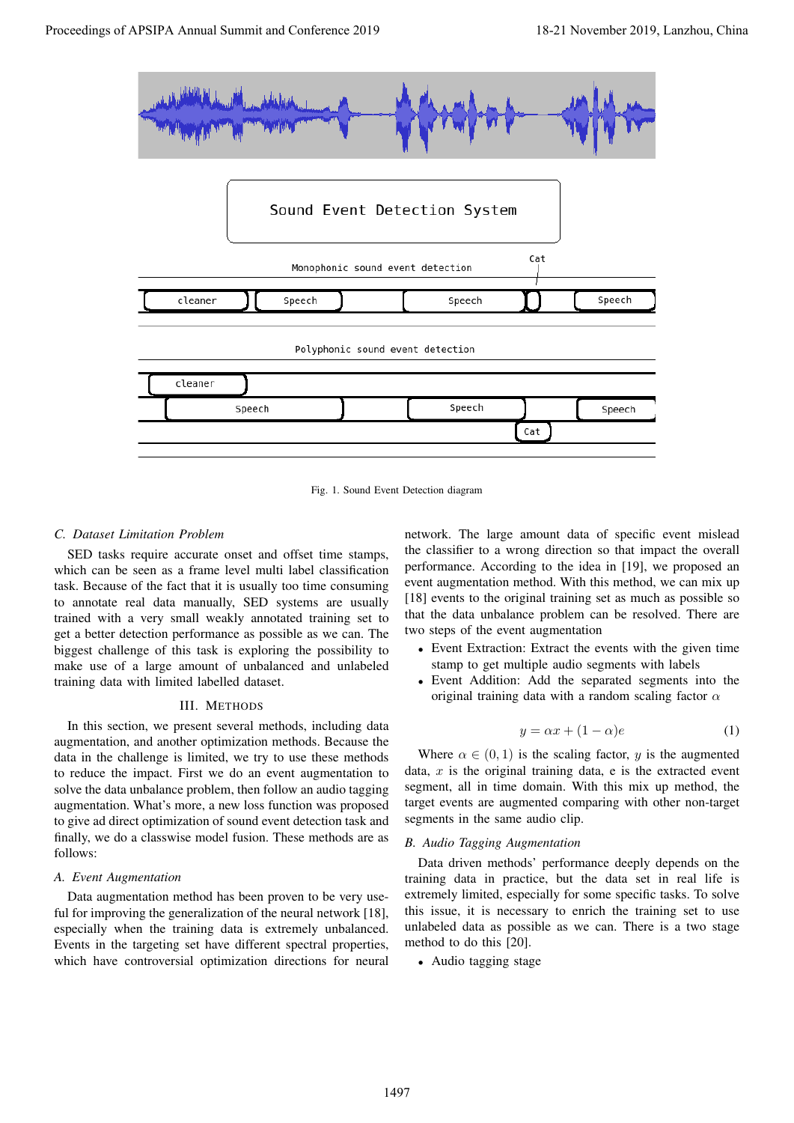

Fig. 1. Sound Event Detection diagram

## *C. Dataset Limitation Problem*

SED tasks require accurate onset and offset time stamps, which can be seen as a frame level multi label classification task. Because of the fact that it is usually too time consuming to annotate real data manually, SED systems are usually trained with a very small weakly annotated training set to get a better detection performance as possible as we can. The biggest challenge of this task is exploring the possibility to make use of a large amount of unbalanced and unlabeled training data with limited labelled dataset.

## III. METHODS

In this section, we present several methods, including data augmentation, and another optimization methods. Because the data in the challenge is limited, we try to use these methods to reduce the impact. First we do an event augmentation to solve the data unbalance problem, then follow an audio tagging augmentation. What's more, a new loss function was proposed to give ad direct optimization of sound event detection task and finally, we do a classwise model fusion. These methods are as follows:

#### *A. Event Augmentation*

Data augmentation method has been proven to be very useful for improving the generalization of the neural network [18], especially when the training data is extremely unbalanced. Events in the targeting set have different spectral properties, which have controversial optimization directions for neural

network. The large amount data of specific event mislead the classifier to a wrong direction so that impact the overall performance. According to the idea in [19], we proposed an event augmentation method. With this method, we can mix up [18] events to the original training set as much as possible so that the data unbalance problem can be resolved. There are two steps of the event augmentation

- Event Extraction: Extract the events with the given time stamp to get multiple audio segments with labels
- Event Addition: Add the separated segments into the original training data with a random scaling factor  $\alpha$

$$
y = \alpha x + (1 - \alpha)e \tag{1}
$$

Where  $\alpha \in (0, 1)$  is the scaling factor, y is the augmented data,  $x$  is the original training data,  $e$  is the extracted event segment, all in time domain. With this mix up method, the target events are augmented comparing with other non-target segments in the same audio clip.

## *B. Audio Tagging Augmentation*

Data driven methods' performance deeply depends on the training data in practice, but the data set in real life is extremely limited, especially for some specific tasks. To solve this issue, it is necessary to enrich the training set to use unlabeled data as possible as we can. There is a two stage method to do this [20].

• Audio tagging stage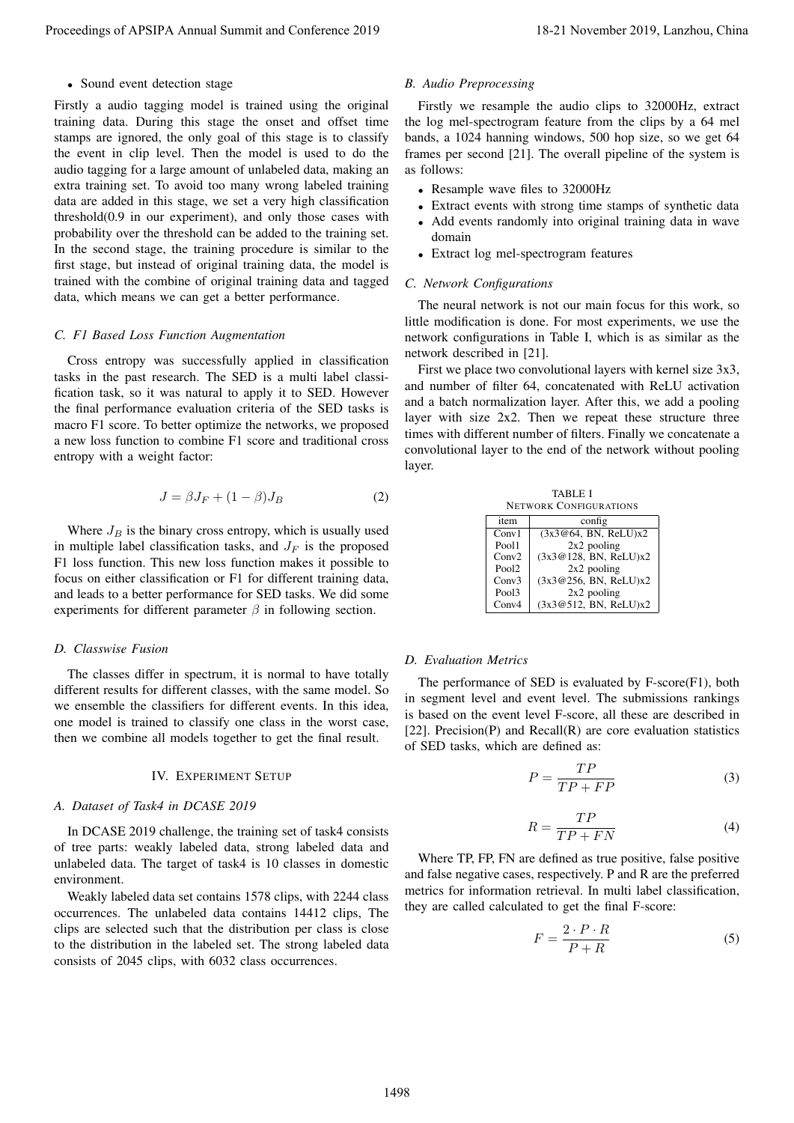• Sound event detection stage

Firstly a audio tagging model is trained using the original training data. During this stage the onset and offset time stamps are ignored, the only goal of this stage is to classify the event in clip level. Then the model is used to do the audio tagging for a large amount of unlabeled data, making an extra training set. To avoid too many wrong labeled training data are added in this stage, we set a very high classification threshold(0.9 in our experiment), and only those cases with probability over the threshold can be added to the training set. In the second stage, the training procedure is similar to the first stage, but instead of original training data, the model is trained with the combine of original training data and tagged data, which means we can get a better performance. Proceedings of APSIPA Annual Summit and Conference 2019 **F**<sub>x</sub> André *Proper*ence <sup>1</sup> (Fact) Annual Summit and Conference 2019 18-21 November 2019 18-21 November 2019 18-21 November 2019 18-21 November 2019 18-21 November

#### *C. F1 Based Loss Function Augmentation*

Cross entropy was successfully applied in classification tasks in the past research. The SED is a multi label classification task, so it was natural to apply it to SED. However the final performance evaluation criteria of the SED tasks is macro F1 score. To better optimize the networks, we proposed a new loss function to combine F1 score and traditional cross entropy with a weight factor:

$$
J = \beta J_F + (1 - \beta) J_B \tag{2}
$$

Where  $J_B$  is the binary cross entropy, which is usually used in multiple label classification tasks, and  $J_F$  is the proposed F1 loss function. This new loss function makes it possible to focus on either classification or F1 for different training data, and leads to a better performance for SED tasks. We did some experiments for different parameter  $\beta$  in following section.

#### *D. Classwise Fusion*

The classes differ in spectrum, it is normal to have totally different results for different classes, with the same model. So we ensemble the classifiers for different events. In this idea, one model is trained to classify one class in the worst case, then we combine all models together to get the final result.

#### IV. EXPERIMENT SETUP

#### *A. Dataset of Task4 in DCASE 2019*

In DCASE 2019 challenge, the training set of task4 consists of tree parts: weakly labeled data, strong labeled data and unlabeled data. The target of task4 is 10 classes in domestic environment.

Weakly labeled data set contains 1578 clips, with 2244 class occurrences. The unlabeled data contains 14412 clips, The clips are selected such that the distribution per class is close to the distribution in the labeled set. The strong labeled data consists of 2045 clips, with 6032 class occurrences.

## *B. Audio Preprocessing*

Firstly we resample the audio clips to 32000Hz, extract the log mel-spectrogram feature from the clips by a 64 mel bands, a 1024 hanning windows, 500 hop size, so we get 64 frames per second [21]. The overall pipeline of the system is as follows:

- Resample wave files to 32000Hz
- Extract events with strong time stamps of synthetic data • Add events randomly into original training data in wave
- domain
- Extract log mel-spectrogram features

## *C. Network Configurations*

The neural network is not our main focus for this work, so little modification is done. For most experiments, we use the network configurations in Table I, which is as similar as the network described in [21].

First we place two convolutional layers with kernel size 3x3, and number of filter 64, concatenated with ReLU activation and a batch normalization layer. After this, we add a pooling layer with size 2x2. Then we repeat these structure three times with different number of filters. Finally we concatenate a convolutional layer to the end of the network without pooling layer.

| TABLE I                       |        |  |  |  |
|-------------------------------|--------|--|--|--|
| <b>NETWORK CONFIGURATIONS</b> |        |  |  |  |
| item                          | config |  |  |  |

| item              | config                |  |
|-------------------|-----------------------|--|
| Conv1             | (3x3@64, BN, ReLU)x2  |  |
| Pool1             | $2x2$ pooling         |  |
| Conv2             | (3x3@128, BN, ReLU)x2 |  |
| Pool <sub>2</sub> | $2x2$ pooling         |  |
| Conv3             | (3x3@256, BN, ReLU)x2 |  |
| Pool3             | $2x2$ pooling         |  |
| Conv4             | (3x3@512, BN, ReLU)x2 |  |

#### *D. Evaluation Metrics*

The performance of SED is evaluated by F-score(F1), both in segment level and event level. The submissions rankings is based on the event level F-score, all these are described in [22]. Precision(P) and Recall(R) are core evaluation statistics of SED tasks, which are defined as:

$$
P = \frac{TP}{TP + FP} \tag{3}
$$

$$
R = \frac{TP}{TP + FN} \tag{4}
$$

Where TP, FP, FN are defined as true positive, false positive and false negative cases, respectively. P and R are the preferred metrics for information retrieval. In multi label classification, they are called calculated to get the final F-score:

$$
F = \frac{2 \cdot P \cdot R}{P + R} \tag{5}
$$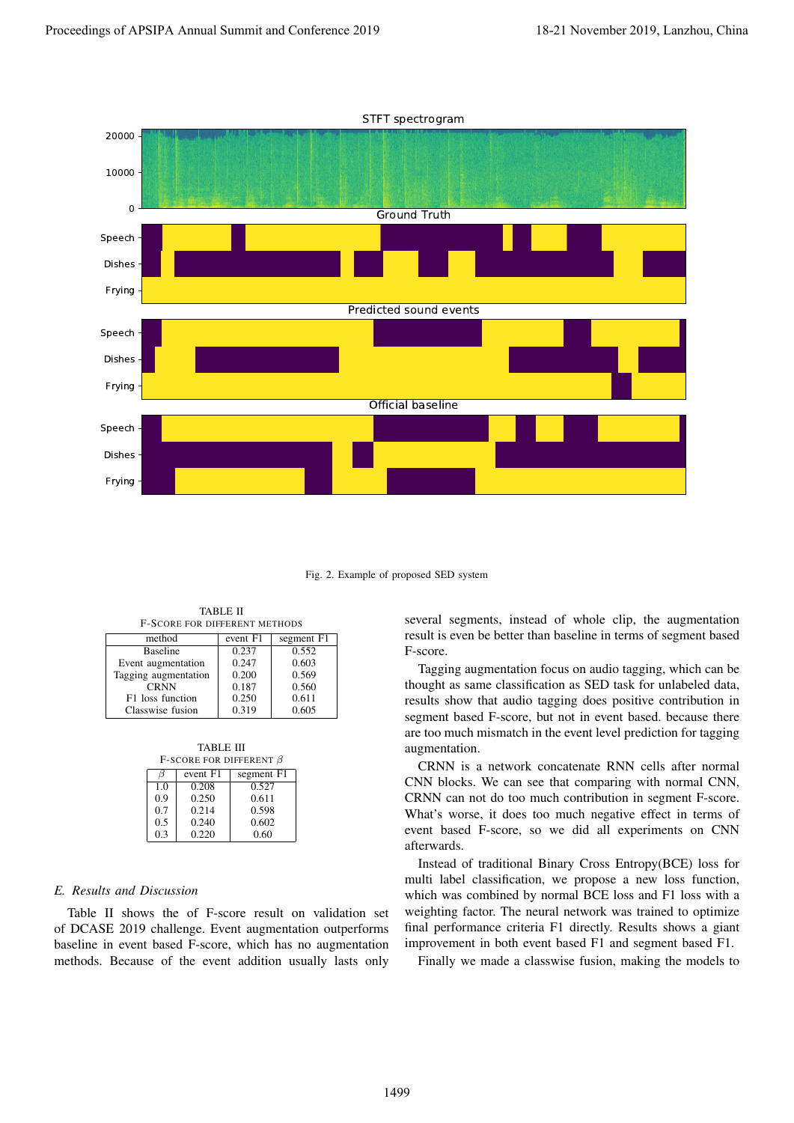

Fig. 2. Example of proposed SED system

TABLE II F-SCORE FOR DIFFERENT METHODS

| method               | event F1 | segment F1 |
|----------------------|----------|------------|
| <b>Baseline</b>      | 0.237    | 0.552      |
| Event augmentation   | 0.247    | 0.603      |
| Tagging augmentation | 0.200    | 0.569      |
| <b>CRNN</b>          | 0.187    | 0.560      |
| F1 loss function     | 0.250    | 0.611      |
| Classwise fusion     | 0.319    | 0.605      |

TABLE III

| F-SCORE FOR DIFFERENT $\beta$ |          |            |  |  |  |  |
|-------------------------------|----------|------------|--|--|--|--|
|                               | event F1 | segment F1 |  |  |  |  |
| 1.0                           | 0.208    | 0.527      |  |  |  |  |
| 0.9                           | 0.250    | 0.611      |  |  |  |  |
| 0.7                           | 0.214    | 0.598      |  |  |  |  |
| 0.5                           | 0.240    | 0.602      |  |  |  |  |
| 0.3                           | 0.220    | 0.60       |  |  |  |  |

## *E. Results and Discussion*

Table II shows the of F-score result on validation set of DCASE 2019 challenge. Event augmentation outperforms baseline in event based F-score, which has no augmentation methods. Because of the event addition usually lasts only

several segments, instead of whole clip, the augmentation result is even be better than baseline in terms of segment based F-score.

Tagging augmentation focus on audio tagging, which can be thought as same classification as SED task for unlabeled data, results show that audio tagging does positive contribution in segment based F-score, but not in event based. because there are too much mismatch in the event level prediction for tagging augmentation.

CRNN is a network concatenate RNN cells after normal CNN blocks. We can see that comparing with normal CNN, CRNN can not do too much contribution in segment F-score. What's worse, it does too much negative effect in terms of event based F-score, so we did all experiments on CNN afterwards.

Instead of traditional Binary Cross Entropy(BCE) loss for multi label classification, we propose a new loss function, which was combined by normal BCE loss and F1 loss with a weighting factor. The neural network was trained to optimize final performance criteria F1 directly. Results shows a giant improvement in both event based F1 and segment based F1.

Finally we made a classwise fusion, making the models to